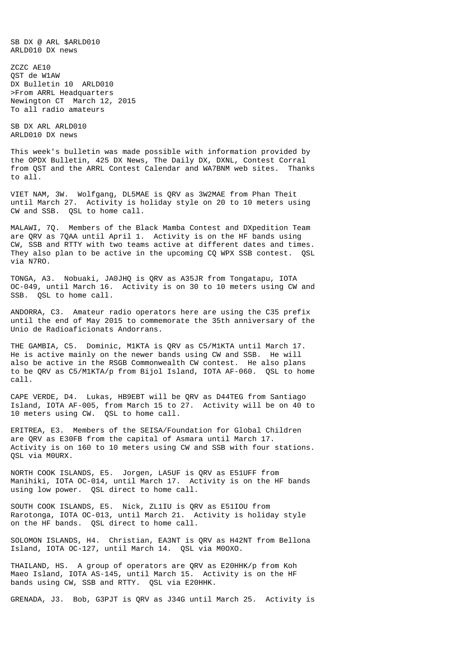SB DX @ ARL \$ARLD010 ARLD010 DX news

ZCZC AE10 QST de W1AW DX Bulletin 10 ARLD010 >From ARRL Headquarters Newington CT March 12, 2015 To all radio amateurs

SB DX ARL ARLD010 ARLD010 DX news

This week's bulletin was made possible with information provided by the OPDX Bulletin, 425 DX News, The Daily DX, DXNL, Contest Corral from QST and the ARRL Contest Calendar and WA7BNM web sites. Thanks to all.

VIET NAM, 3W. Wolfgang, DL5MAE is QRV as 3W2MAE from Phan Theit until March 27. Activity is holiday style on 20 to 10 meters using CW and SSB. QSL to home call.

MALAWI, 7Q. Members of the Black Mamba Contest and DXpedition Team are QRV as 7QAA until April 1. Activity is on the HF bands using CW, SSB and RTTY with two teams active at different dates and times. They also plan to be active in the upcoming CQ WPX SSB contest. QSL via N7RO.

TONGA, A3. Nobuaki, JA0JHQ is QRV as A35JR from Tongatapu, IOTA OC-049, until March 16. Activity is on 30 to 10 meters using CW and SSB. QSL to home call.

ANDORRA, C3. Amateur radio operators here are using the C35 prefix until the end of May 2015 to commemorate the 35th anniversary of the Unio de Radioaficionats Andorrans.

THE GAMBIA, C5. Dominic, M1KTA is QRV as C5/M1KTA until March 17. He is active mainly on the newer bands using CW and SSB. He will also be active in the RSGB Commonwealth CW contest. He also plans to be QRV as C5/M1KTA/p from Bijol Island, IOTA AF-060. QSL to home call.

CAPE VERDE, D4. Lukas, HB9EBT will be QRV as D44TEG from Santiago Island, IOTA AF-005, from March 15 to 27. Activity will be on 40 to 10 meters using CW. QSL to home call.

ERITREA, E3. Members of the SEISA/Foundation for Global Children are QRV as E30FB from the capital of Asmara until March 17. Activity is on 160 to 10 meters using CW and SSB with four stations. QSL via M0URX.

NORTH COOK ISLANDS, E5. Jorgen, LA5UF is QRV as E51UFF from Manihiki, IOTA OC-014, until March 17. Activity is on the HF bands using low power. QSL direct to home call.

SOUTH COOK ISLANDS, E5. Nick, ZL1IU is QRV as E51IOU from Rarotonga, IOTA OC-013, until March 21. Activity is holiday style on the HF bands. QSL direct to home call.

SOLOMON ISLANDS, H4. Christian, EA3NT is QRV as H42NT from Bellona Island, IOTA OC-127, until March 14. QSL via M0OXO.

THAILAND, HS. A group of operators are QRV as E20HHK/p from Koh Maeo Island, IOTA AS-145, until March 15. Activity is on the HF bands using CW, SSB and RTTY. QSL via E20HHK.

GRENADA, J3. Bob, G3PJT is QRV as J34G until March 25. Activity is